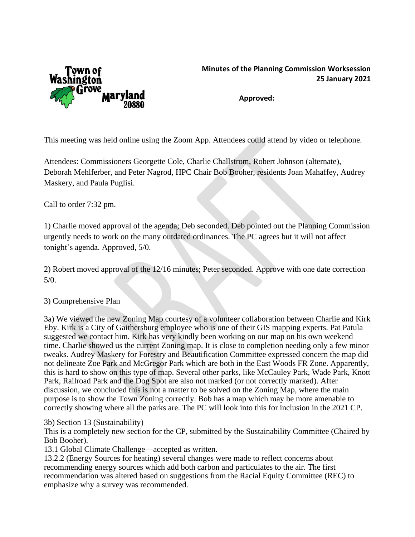

## **Minutes of the Planning Commission Worksession 25 January 2021**

**Approved:**

This meeting was held online using the Zoom App. Attendees could attend by video or telephone.

Attendees: Commissioners Georgette Cole, Charlie Challstrom, Robert Johnson (alternate), Deborah Mehlferber, and Peter Nagrod, HPC Chair Bob Booher, residents Joan Mahaffey, Audrey Maskery, and Paula Puglisi.

Call to order 7:32 pm.

1) Charlie moved approval of the agenda; Deb seconded. Deb pointed out the Planning Commission urgently needs to work on the many outdated ordinances. The PC agrees but it will not affect tonight's agenda. Approved, 5/0.

2) Robert moved approval of the 12/16 minutes; Peter seconded. Approve with one date correction 5/0.

## 3) Comprehensive Plan

3a) We viewed the new Zoning Map courtesy of a volunteer collaboration between Charlie and Kirk Eby. Kirk is a City of Gaithersburg employee who is one of their GIS mapping experts. Pat Patula suggested we contact him. Kirk has very kindly been working on our map on his own weekend time. Charlie showed us the current Zoning map. It is close to completion needing only a few minor tweaks. Audrey Maskery for Forestry and Beautification Committee expressed concern the map did not delineate Zoe Park and McGregor Park which are both in the East Woods FR Zone. Apparently, this is hard to show on this type of map. Several other parks, like McCauley Park, Wade Park, Knott Park, Railroad Park and the Dog Spot are also not marked (or not correctly marked). After discussion, we concluded this is not a matter to be solved on the Zoning Map, where the main purpose is to show the Town Zoning correctly. Bob has a map which may be more amenable to correctly showing where all the parks are. The PC will look into this for inclusion in the 2021 CP.

## 3b) Section 13 (Sustainability)

This is a completely new section for the CP, submitted by the Sustainability Committee (Chaired by Bob Booher).

13.1 Global Climate Challenge—accepted as written.

13.2.2 (Energy Sources for heating) several changes were made to reflect concerns about recommending energy sources which add both carbon and particulates to the air. The first recommendation was altered based on suggestions from the Racial Equity Committee (REC) to emphasize why a survey was recommended.